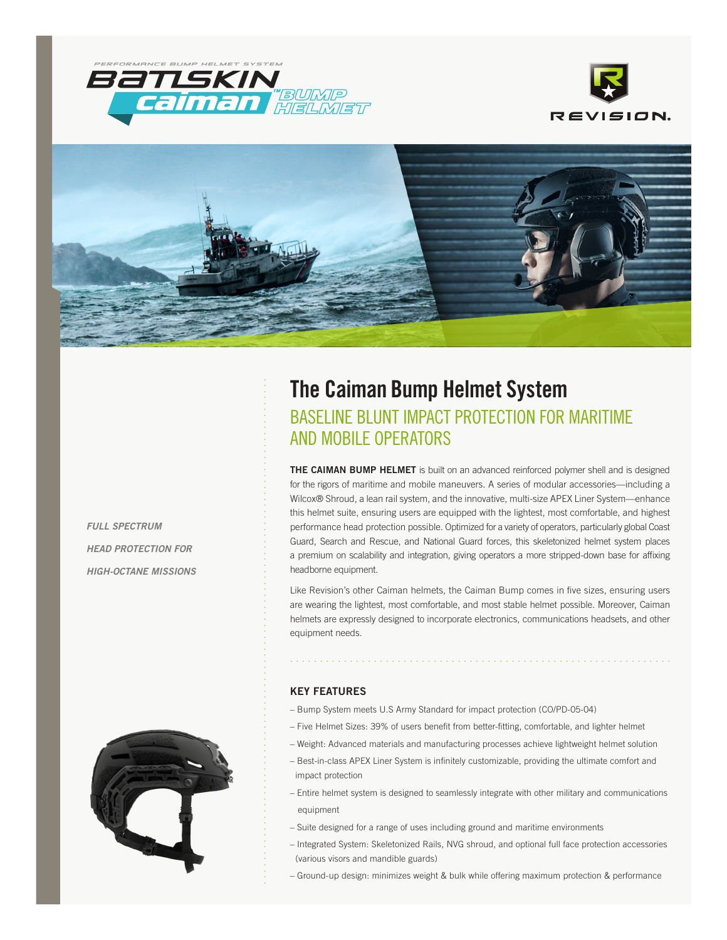





*FULL SPECTRUM HEAD PROTECTION FOR HIGH-OCTANE MISSIONS*



# **The Caiman Bump Helmet System** BASELINE BLUNT IMPACT PROTECTION FOR MARITIME AND MOBILE OPERATORS

**THE CAIMAN BUMP HELMET** is built on an advanced reinforced polymer shell and is designed for the rigors of maritime and mobile maneuvers. A series of modular accessories—including a Wilcox® Shroud, a lean rail system, and the innovative, multi-size APEX Liner System—enhance this helmet suite, ensuring users are equipped with the lightest, most comfortable, and highest performance head protection possible. Optimized for a variety of operators, particularly global Coast Guard, Search and Rescue, and National Guard forces, this skeletonized helmet system places a premium on scalability and integration, giving operators a more stripped-down base for affixing headborne equipment.

Like Revision's other Caiman helmets, the Caiman Bump comes in five sizes, ensuring users are wearing the lightest, most comfortable, and most stable helmet possible. Moreover, Caiman helmets are expressly designed to incorporate electronics, communications headsets, and other equipment needs.

................................................................

# **KEY FEATURES**

.....................................................................................

- Bump System meets U.S Army Standard for impact protection (CO/PD-05-04)
- Five Helmet Sizes: 39% of users benefit from better-fitting, comfortable, and lighter helmet
- Weight: Advanced materials and manufacturing processes achieve lightweight helmet solution
- Best-in-class APEX Liner System is infinitely customizable, providing the ultimate comfort and impact protection
- Entire helmet system is designed to seamlessly integrate with other military and communications equipment
- Suite designed for a range of uses including ground and maritime environments
- Integrated System: Skeletonized Rails, NVG shroud, and optional full face protection accessories (various visors and mandible guards)
- Ground-up design: minimizes weight & bulk while offering maximum protection & performance